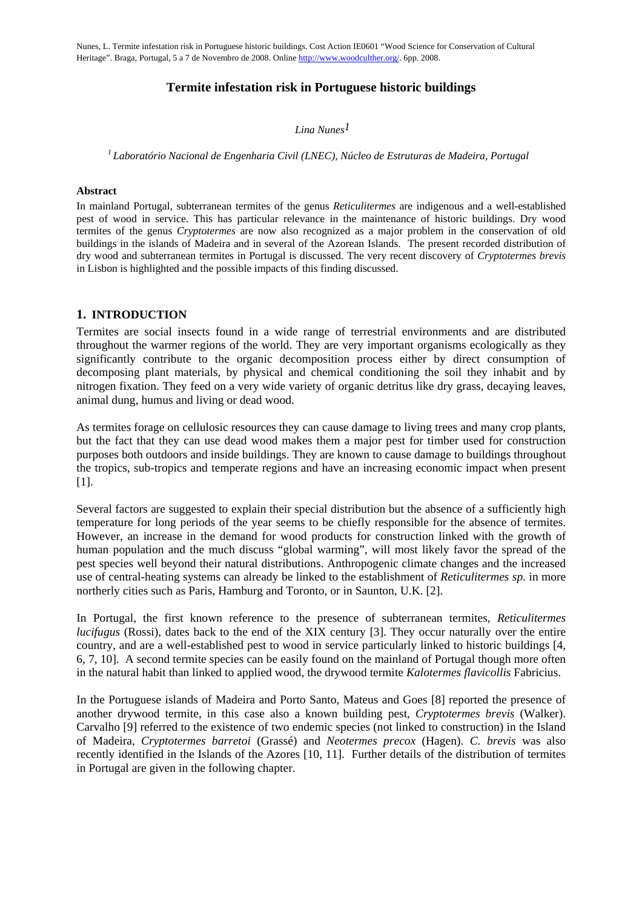# **Termite infestation risk in Portuguese historic buildings**

# *Lina Nunes1*

*<sup>1</sup>Laboratório Nacional de Engenharia Civil (LNEC), Núcleo de Estruturas de Madeira, Portugal* 

#### **Abstract**

In mainland Portugal, subterranean termites of the genus *Reticulitermes* are indigenous and a well-established pest of wood in service. This has particular relevance in the maintenance of historic buildings. Dry wood termites of the genus *Cryptotermes* are now also recognized as a major problem in the conservation of old buildings in the islands of Madeira and in several of the Azorean Islands. The present recorded distribution of dry wood and subterranean termites in Portugal is discussed. The very recent discovery of *Cryptotermes brevis* in Lisbon is highlighted and the possible impacts of this finding discussed.

#### **1. INTRODUCTION**

Termites are social insects found in a wide range of terrestrial environments and are distributed throughout the warmer regions of the world. They are very important organisms ecologically as they significantly contribute to the organic decomposition process either by direct consumption of decomposing plant materials, by physical and chemical conditioning the soil they inhabit and by nitrogen fixation. They feed on a very wide variety of organic detritus like dry grass, decaying leaves, animal dung, humus and living or dead wood.

As termites forage on cellulosic resources they can cause damage to living trees and many crop plants, but the fact that they can use dead wood makes them a major pest for timber used for construction purposes both outdoors and inside buildings. They are known to cause damage to buildings throughout the tropics, sub-tropics and temperate regions and have an increasing economic impact when present [1].

Several factors are suggested to explain their special distribution but the absence of a sufficiently high temperature for long periods of the year seems to be chiefly responsible for the absence of termites. However, an increase in the demand for wood products for construction linked with the growth of human population and the much discuss "global warming", will most likely favor the spread of the pest species well beyond their natural distributions. Anthropogenic climate changes and the increased use of central-heating systems can already be linked to the establishment of *Reticulitermes sp.* in more northerly cities such as Paris, Hamburg and Toronto, or in Saunton, U.K. [2].

In Portugal, the first known reference to the presence of subterranean termites, *Reticulitermes lucifugus* (Rossi), dates back to the end of the XIX century [3]. They occur naturally over the entire country, and are a well-established pest to wood in service particularly linked to historic buildings [4, 6, 7, 10]. A second termite species can be easily found on the mainland of Portugal though more often in the natural habit than linked to applied wood, the drywood termite *Kalotermes flavicollis* Fabricius.

In the Portuguese islands of Madeira and Porto Santo, Mateus and Goes [8] reported the presence of another drywood termite, in this case also a known building pest, *Cryptotermes brevis* (Walker). Carvalho [9] referred to the existence of two endemic species (not linked to construction) in the Island of Madeira, *Cryptotermes barretoi* (Grassé) and *Neotermes precox* (Hagen). *C. brevis* was also recently identified in the Islands of the Azores [10, 11]. Further details of the distribution of termites in Portugal are given in the following chapter.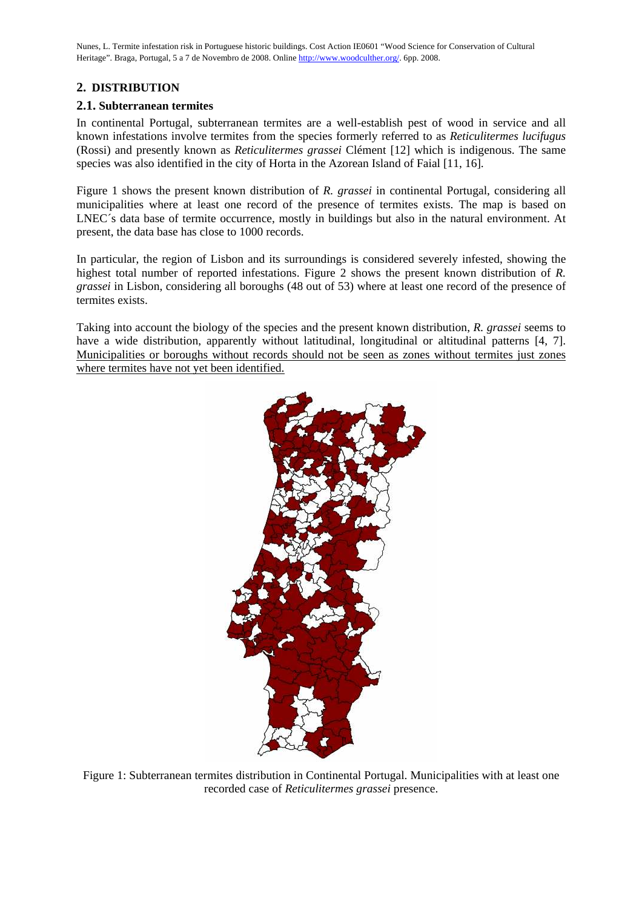# **2. DISTRIBUTION**

# **2.1. Subterranean termites**

In continental Portugal, subterranean termites are a well-establish pest of wood in service and all known infestations involve termites from the species formerly referred to as *Reticulitermes lucifugus* (Rossi) and presently known as *Reticulitermes grassei* Clément [12] which is indigenous. The same species was also identified in the city of Horta in the Azorean Island of Faial [11, 16].

Figure 1 shows the present known distribution of *R. grassei* in continental Portugal, considering all municipalities where at least one record of the presence of termites exists. The map is based on LNEC´s data base of termite occurrence, mostly in buildings but also in the natural environment. At present, the data base has close to 1000 records.

In particular, the region of Lisbon and its surroundings is considered severely infested, showing the highest total number of reported infestations. Figure 2 shows the present known distribution of *R. grassei* in Lisbon, considering all boroughs (48 out of 53) where at least one record of the presence of termites exists.

Taking into account the biology of the species and the present known distribution, *R. grassei* seems to have a wide distribution, apparently without latitudinal, longitudinal or altitudinal patterns [4, 7]. Municipalities or boroughs without records should not be seen as zones without termites just zones where termites have not yet been identified.



Figure 1: Subterranean termites distribution in Continental Portugal. Municipalities with at least one recorded case of *Reticulitermes grassei* presence.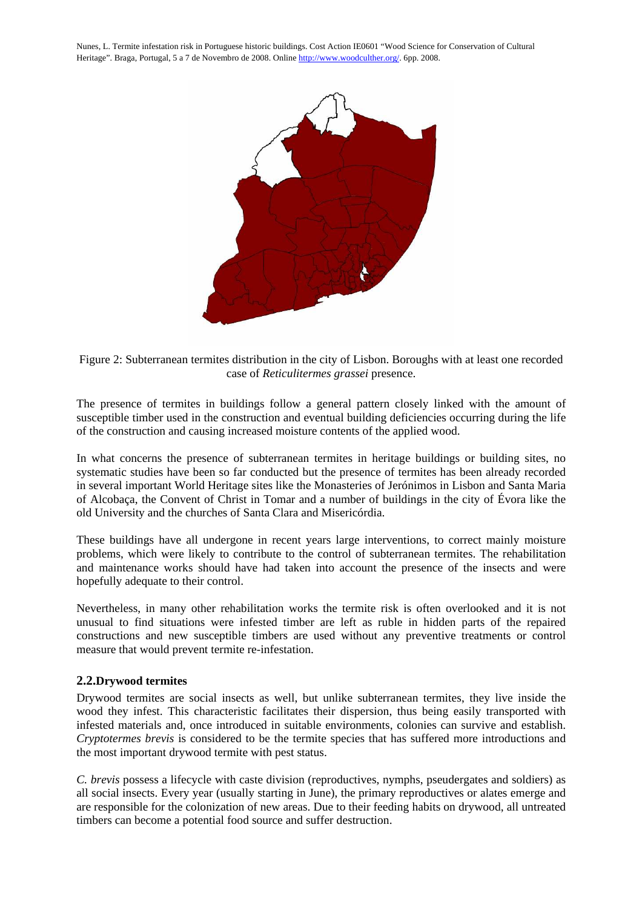

Figure 2: Subterranean termites distribution in the city of Lisbon. Boroughs with at least one recorded case of *Reticulitermes grassei* presence.

The presence of termites in buildings follow a general pattern closely linked with the amount of susceptible timber used in the construction and eventual building deficiencies occurring during the life of the construction and causing increased moisture contents of the applied wood.

In what concerns the presence of subterranean termites in heritage buildings or building sites, no systematic studies have been so far conducted but the presence of termites has been already recorded in several important World Heritage sites like the Monasteries of Jerónimos in Lisbon and Santa Maria of Alcobaça, the Convent of Christ in Tomar and a number of buildings in the city of Évora like the old University and the churches of Santa Clara and Misericórdia.

These buildings have all undergone in recent years large interventions, to correct mainly moisture problems, which were likely to contribute to the control of subterranean termites. The rehabilitation and maintenance works should have had taken into account the presence of the insects and were hopefully adequate to their control.

Nevertheless, in many other rehabilitation works the termite risk is often overlooked and it is not unusual to find situations were infested timber are left as ruble in hidden parts of the repaired constructions and new susceptible timbers are used without any preventive treatments or control measure that would prevent termite re-infestation.

# **2.2.Drywood termites**

Drywood termites are social insects as well, but unlike subterranean termites, they live inside the wood they infest. This characteristic facilitates their dispersion, thus being easily transported with infested materials and, once introduced in suitable environments, colonies can survive and establish. *Cryptotermes brevis* is considered to be the termite species that has suffered more introductions and the most important drywood termite with pest status.

*C. brevis* possess a lifecycle with caste division (reproductives, nymphs, pseudergates and soldiers) as all social insects. Every year (usually starting in June), the primary reproductives or alates emerge and are responsible for the colonization of new areas. Due to their feeding habits on drywood, all untreated timbers can become a potential food source and suffer destruction.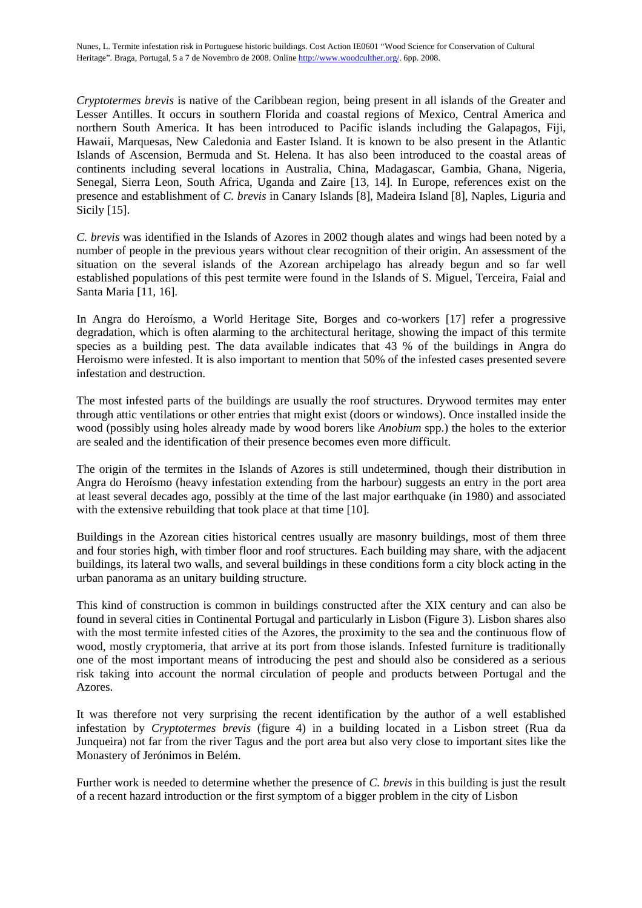*Cryptotermes brevis* is native of the Caribbean region, being present in all islands of the Greater and Lesser Antilles. It occurs in southern Florida and coastal regions of Mexico, Central America and northern South America. It has been introduced to Pacific islands including the Galapagos, Fiji, Hawaii, Marquesas, New Caledonia and Easter Island. It is known to be also present in the Atlantic Islands of Ascension, Bermuda and St. Helena. It has also been introduced to the coastal areas of continents including several locations in Australia, China, Madagascar, Gambia, Ghana, Nigeria, Senegal, Sierra Leon, South Africa, Uganda and Zaire [13, 14]. In Europe, references exist on the presence and establishment of *C. brevis* in Canary Islands [8], Madeira Island [8], Naples, Liguria and Sicily [15].

*C. brevis* was identified in the Islands of Azores in 2002 though alates and wings had been noted by a number of people in the previous years without clear recognition of their origin. An assessment of the situation on the several islands of the Azorean archipelago has already begun and so far well established populations of this pest termite were found in the Islands of S. Miguel, Terceira, Faial and Santa Maria [11, 16].

In Angra do Heroísmo, a World Heritage Site, Borges and co-workers [17] refer a progressive degradation, which is often alarming to the architectural heritage, showing the impact of this termite species as a building pest. The data available indicates that 43 % of the buildings in Angra do Heroismo were infested. It is also important to mention that 50% of the infested cases presented severe infestation and destruction.

The most infested parts of the buildings are usually the roof structures. Drywood termites may enter through attic ventilations or other entries that might exist (doors or windows). Once installed inside the wood (possibly using holes already made by wood borers like *Anobium* spp.) the holes to the exterior are sealed and the identification of their presence becomes even more difficult.

The origin of the termites in the Islands of Azores is still undetermined, though their distribution in Angra do Heroísmo (heavy infestation extending from the harbour) suggests an entry in the port area at least several decades ago, possibly at the time of the last major earthquake (in 1980) and associated with the extensive rebuilding that took place at that time [10].

Buildings in the Azorean cities historical centres usually are masonry buildings, most of them three and four stories high, with timber floor and roof structures. Each building may share, with the adjacent buildings, its lateral two walls, and several buildings in these conditions form a city block acting in the urban panorama as an unitary building structure.

This kind of construction is common in buildings constructed after the XIX century and can also be found in several cities in Continental Portugal and particularly in Lisbon (Figure 3). Lisbon shares also with the most termite infested cities of the Azores, the proximity to the sea and the continuous flow of wood, mostly cryptomeria, that arrive at its port from those islands. Infested furniture is traditionally one of the most important means of introducing the pest and should also be considered as a serious risk taking into account the normal circulation of people and products between Portugal and the Azores.

It was therefore not very surprising the recent identification by the author of a well established infestation by *Cryptotermes brevis* (figure 4) in a building located in a Lisbon street (Rua da Junqueira) not far from the river Tagus and the port area but also very close to important sites like the Monastery of Jerónimos in Belém.

Further work is needed to determine whether the presence of *C. brevis* in this building is just the result of a recent hazard introduction or the first symptom of a bigger problem in the city of Lisbon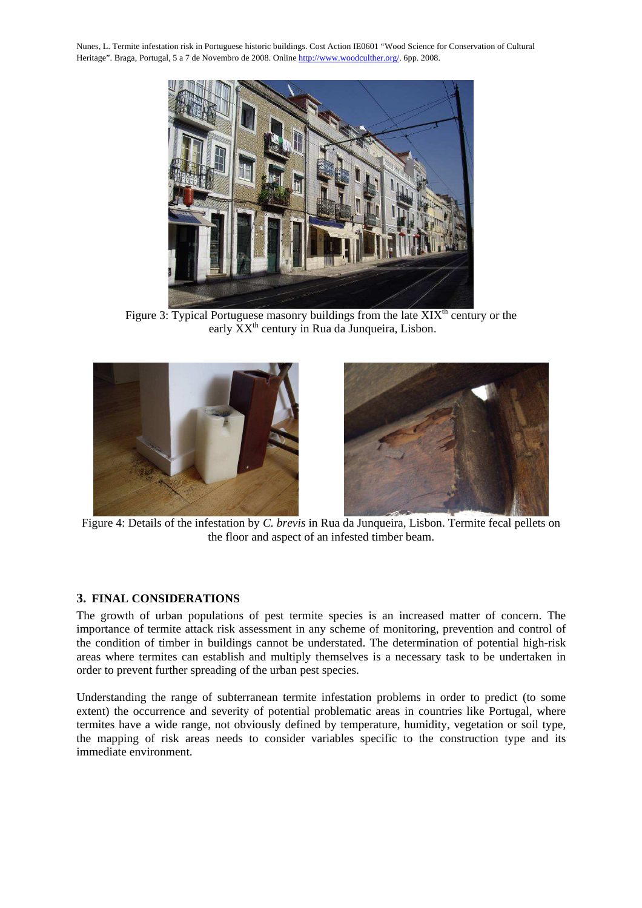

Figure 3: Typical Portuguese masonry buildings from the late  $XIX<sup>th</sup>$  century or the early XX<sup>th</sup> century in Rua da Junqueira, Lisbon.





Figure 4: Details of the infestation by *C. brevis* in Rua da Junqueira, Lisbon. Termite fecal pellets on the floor and aspect of an infested timber beam.

# **3. FINAL CONSIDERATIONS**

The growth of urban populations of pest termite species is an increased matter of concern. The importance of termite attack risk assessment in any scheme of monitoring, prevention and control of the condition of timber in buildings cannot be understated. The determination of potential high-risk areas where termites can establish and multiply themselves is a necessary task to be undertaken in order to prevent further spreading of the urban pest species.

Understanding the range of subterranean termite infestation problems in order to predict (to some extent) the occurrence and severity of potential problematic areas in countries like Portugal, where termites have a wide range, not obviously defined by temperature, humidity, vegetation or soil type, the mapping of risk areas needs to consider variables specific to the construction type and its immediate environment.